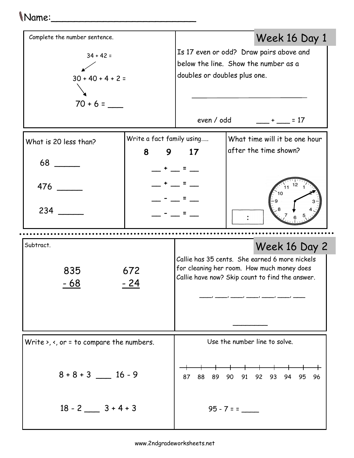## Name:\_\_\_\_\_\_\_\_\_\_\_\_\_\_\_\_\_\_\_\_\_\_\_\_\_

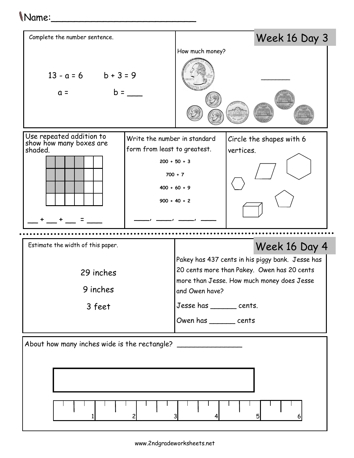## Name:\_\_\_\_\_\_\_\_\_\_\_\_\_\_\_\_\_\_\_\_\_\_\_\_\_